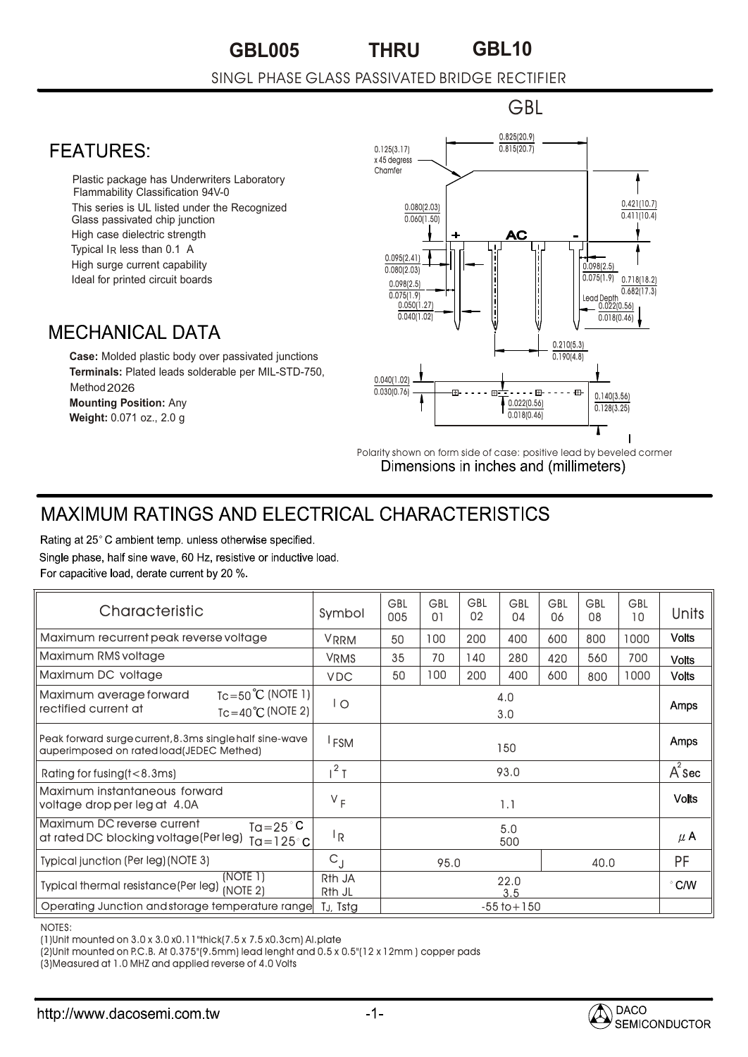## **GBL005 GBL10 THRU**

## SINGL PHASE GLASS PASSIVATED BRIDGE RECTIFIER

## 0.825(20.9) **FFATURFS:** 0.815(20.7) 0.125(3.17)  $x$  45 degre Chamfer • Plastic package has Underwriters Laboratory Flammability Classification 94V-0 This series is UL listed under the Recognized 0.080(2.03) Glass passivated chip junction  $0.060(1.50)$ • High case dielectric strength • Typical IR less than 0.1 A 0.095(2.41) • High surge current capability 0.098(2.5) 0.080(2.03) Ideal for printed circuit boards 0.098(2.5) 0.075(1.9) 0.718(18.2)  $0.075(1.9)$ Leaa Depm<br>\_\_\_ 0.022(0.56) 0.050(1.27)  $0.040(1.02)$ **MECHANICAL DATA** 0.210(5.3) **Case:** Molded plastic body over passivated junctions 0.190(4.8) **Terminals:** Plated leads solderable per MIL-STD-750, 0.040(1.02) Method 2026  $0.030(0.76)$  $\mathbb{H}^{\frac{1}{2}+1}$  + + + + +  $\mathbb{H}^1$  + + + +  $\mathbb{H}^1$ 0.140(3.56) 0.022(0.56) **Mounting Position:** Any

Polarity shown on form side of case: positive lead by beveled cormer<br>
Dimensions in inches and (millimeters)

0.018(0.46)

GBL

0.421(10.7)  $0.411(10.4)$ 

 $0.682(17.3)$ 

 $0.018(0.46)$ 

0.128(3.25)

## **MAXIMUM RATINGS AND ELECTRICAL CHARACTERISTICS**

Rating at 25°C ambient temp. unless otherwise specified. Single phase, half sine wave, 60 Hz, resistive or inductive load. For capacitive load, derate current by 20 %.

**Weight:** 0.071 oz., 2.0 g

| Characteristic                                                                                                   | Symbol                       | GBL<br>005      | <b>GBL</b><br>01 | GBL<br>02 | <b>GBL</b><br>04 | <b>GBL</b><br>06 | <b>GBL</b><br>08 | <b>GBL</b><br>10 | <b>Units</b>  |
|------------------------------------------------------------------------------------------------------------------|------------------------------|-----------------|------------------|-----------|------------------|------------------|------------------|------------------|---------------|
| Maximum recurrent peak reverse voltage                                                                           | <b>VRRM</b>                  | 50              | 100              | 200       | 400              | 600              | 800              | 1000             | <b>Volts</b>  |
| Maximum RMS voltage                                                                                              | <b>VRMS</b>                  | 35              | 70               | 140       | 280              | 420              | 560              | 700              | <b>Volts</b>  |
| Maximum DC voltage                                                                                               | <b>VDC</b>                   | 50              | 100              | 200       | 400              | 600              | 800              | 1000             | <b>Volts</b>  |
| $Tc = 50^{\circ}C$ (NOTE 1)<br>Maximum average forward<br>rectified current at<br>$Tc = 40^{\circ}C$ (NOTE 2)    | l O                          | 4.0<br>3.0      |                  |           |                  |                  |                  |                  | Amps          |
| Peak forward surge current, 8.3ms single half sine-wave<br>auperimposed on rated load(JEDEC Methed)              | <sup>I</sup> FSM             | 150             |                  |           |                  |                  |                  |                  | Amps          |
| Rating for fusing (t < 8.3ms)                                                                                    | $1^2$ T                      | 93.0            |                  |           |                  |                  |                  |                  | $A^2$ Sec     |
| Maximum instantaneous forward<br>voltage drop per leg at 4.0A                                                    | $V_F$                        | 1.1             |                  |           |                  |                  |                  |                  | <b>Volts</b>  |
| Maximum DC reverse current<br>$Ta = 25^{\circ}C$<br>at rated DC blocking voltage(Per leg)<br>Ta=125 $^{\circ}$ C | l <sub>R</sub>               | 5.0<br>500      |                  |           |                  |                  |                  |                  | $\mu$ A       |
| Typical junction (Per leg) (NOTE 3)                                                                              | $C_{\rm J}$                  | 40.0<br>95.0    |                  |           |                  |                  | <b>PF</b>        |                  |               |
| (NOTE 1)<br><b>Typical thermal resistance (Per leg)</b><br>(NOTE 2)                                              | R <sub>th</sub> JA<br>Rth JL | 22.0<br>3.5     |                  |           |                  |                  |                  |                  | $\degree$ C/W |
| Operating Junction and storage temperature range                                                                 | TJ, Tstg                     | $-55$ to $+150$ |                  |           |                  |                  |                  |                  |               |

NOTES:

(1)Unit mounted on 3.0 x 3.0 x0.11"thick(7.5 x 7.5 x0.3cm) Al.plate

(2)Unit mounted on P.C.B. At 0.375"(9.5mm) lead lenght and 0.5 x 0.5"(12 x 12mm ) copper pads

(3)Measured at 1.0 MHZ and applied reverse of 4.0 Volts

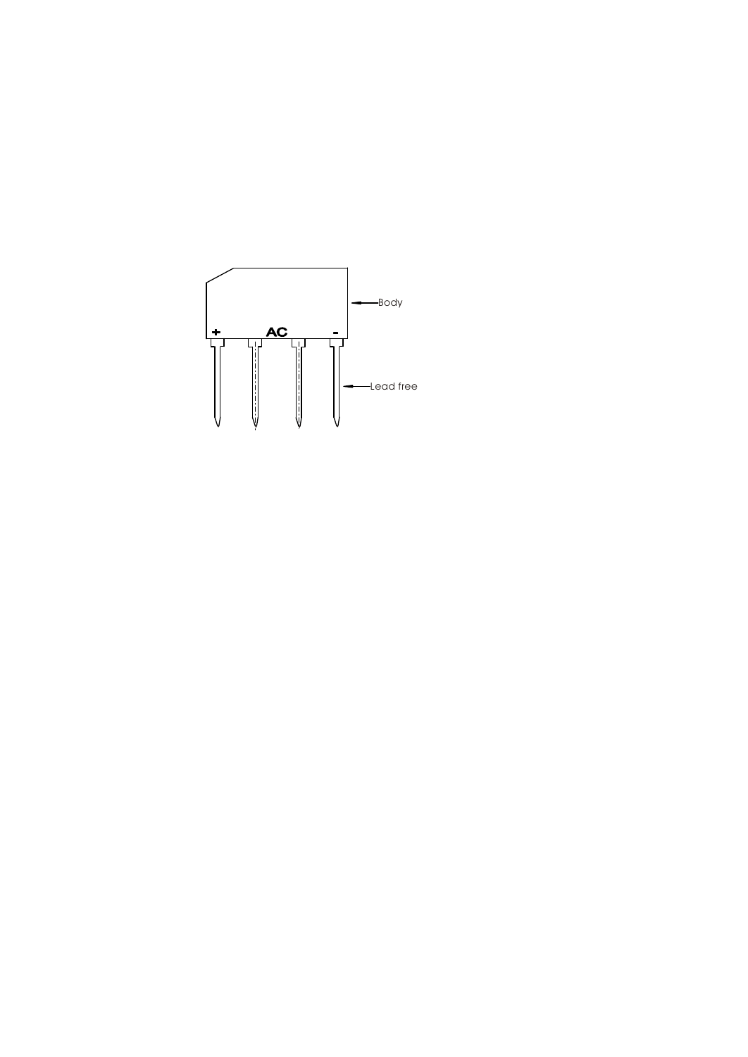